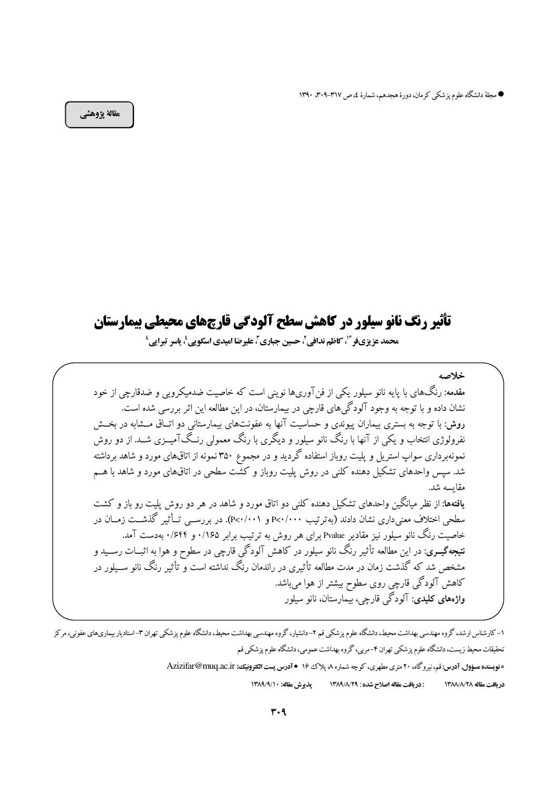● مجلة دانشگاه علوم پزشكي كرمان، دورة هجدهم، شمارة ٤، ص ٣١٧-٣٠٩. ١٣٩٠

مقالة يژوهشي

# تأثیر رنگ نانو سیلور در کاهش سطح آلودگی قارچهای محیطی پیمارستان

محمد عزيزيفر \* ، كاظم ندافي ، حسين جباري ، عليرضا اميدي اسكويي ، ياسر تبرايي '

خلاصه

مقدمه: رنگهای با پایه نانو سیلور یکی از فنآوریها نوینی است که خاصیت ضدمیکروبی و ضدقارچی از خود نشان داده و با توجه به وجود آلودگی های قارچی در بیمارستان، در این مطالعه این اثر بررسی شده است. روش: با توجه به بستری بیماران پیوندی و حساسیت آنها به عفونتهای بیمارستانی دو اتــاق مــشابه در بخــش نفرولوژی انتخاب و یکی از آنها با رنگ نانو سیلور و دیگری با رنگ معمولی رنـگIآمیــزی شــد. از دو روش نمونهبرداری سواپ استریل و پلیت روباز استفاده گردید و در مجموع ۳۵۰ نمونه از اتاقهای مورد و شاهد برداشته شد. سپس واحدهای تشکیل دهنده کلنی در روش پلیت روباز و کشّت سطحی در اتاقهای مورد و شاهد با هــم مقايسه شد. یافتهها: از نظر میانگین واحدهای تشکیل دهنده کلنی دو اتاق مورد و شاهد در هر دو روش پلیت رو باز و کشت سطحی اختلاف معنی داری نشان دادند (بهترتیب ۲۰۰۰/۰۰۰ و P<۰/۰۰۱). در بررســـی تــأثیر گذشــت زمــان در خاصیت رنگ نانو سیلور نیز مقادیر Pvalue برای هر روش به ترتیب برابر ۱/۶۵ و ۶۴۴/۰ بهدست آمد. ن**تیجهگیــری**: در این مطالعه تأثیر رنگ نانو سیلور در کاهش آلودگی قارچی در سطوح و هوا به اثبــات رســید و مشخص شد که گذشت زمان در مدت مطالعه تأثیری در راندمان رنگ نداشته است و تأثیر رنگ نانو ســیلور در کاهش آلودگی قارچی روی سطوح بیشتر از هوا می باشد. وا**ژہھای کلیدی**: آلودگے قارچے، پیمارستان، نانو سیلور

۱–کارشناس ارشد، گروه مهندسی بهداشت محیط، دانشگاه علوم پزشکی قم ۲–دانشیار، گروه مهندسی بهداشت محیط، دانشگاه علوم پزشکی تهران ۳–استادیار بیماریهای عفونی، مرکز تحقیقات محیط زیست، دانشگاه علوم پزشکی تهران ۴-مربی، گروه بهداشت عمومی، دانشگاه علوم پزشکی قم \* نویسنده مسؤول, آدرس: قم، نیرو گاه، ۲۰ متری مطهری، کو چه شماره ۸، پلاک ۱۶ • آدرس پست الکترونیک: Azizifar@muq.ac.ir يذيوش مقاله: ١٣٨٩/٩/١٠ : دریافت مقاله اصلاح شده : ١٣٨٩/٨/٢٩ در بافت مقاله ١٣٨٨/٨/٢٨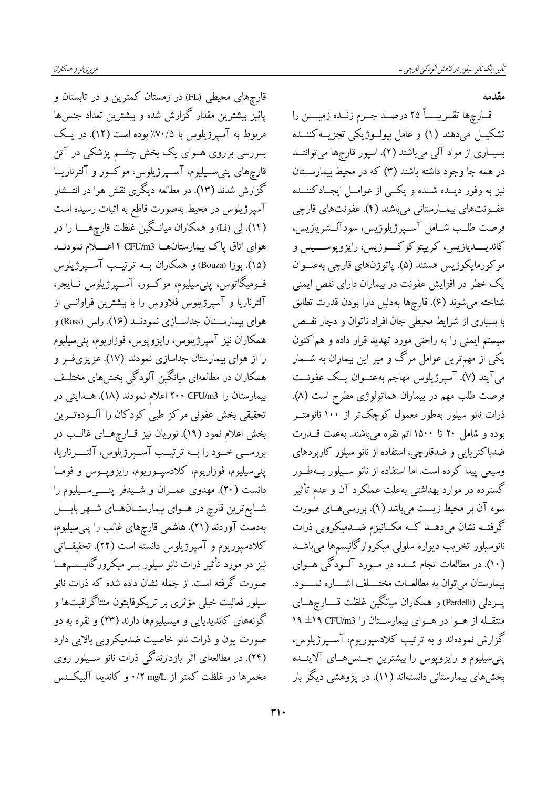مقدمه

قــارچها تقــريبــــاً ٢٥ درصــد جــرم زنــده زميــــن را تشکیــل میدهند (۱) و عامل بیولــوژیکی تجزیــهکننــده بسیـاری از مواد آلی میباشند (۲). اسپور قارچها میتواننــد در همه جا وجود داشته باشند (۳) که در محیط بیمارســتان نیز به وفور دیــده شــده و یکــی از عوامــل ایجــادکننــده عفونتهای بیمارستانی می باشند (۴). عفونتهای قارچی فرصت طلـب شــامل آســپرژيلوزيس، سودآلــشريازيس، کاندیـــــدیازیس، کریپتوکوکــــوزیس، رایزوپوســــیس و موكورمايكوزيس هستند (۵). پاتوژنهای قارچی بهعنــوان یک خطر در افزایش عفونت در بیماران دارای نقص ایمنی شناخته میشوند (۶). قارچها بهدلیل دارا بودن قدرت تطابق با بسیاری از شرایط محیطی جان افراد ناتوان و دچار نقسص سیستم ایمنی را به راحتی مورد تهدید قرار داده و هماکنون یکی از مهمترین عوامل مرگ و میر این بیماران به شــمار میآیند (۷). آسپرژیلوس مهاجم بهعنــوان یــک عفونــت فرصت طلب مهم در بیماران هماتولوژی مطرح است (۸). ذرات نانو سیلور بهطور معمول کوچکتر از ۱۰۰ نانومتــر بوده و شامل ۲۰ تا ۱۵۰۰اتم نقره میباشند. بهعلت قـــدرت ضدباکتریایی و ضدقارچی، استفاده از نانو سیلور کاربردهای وسیعی پیدا کرده است. اما استفاده از نانو سـیلور بــهطــور گسترده در موارد بهداشتی بهعلت عملکرد آن و عدم تأثیر سوء آن بر محیط زیست میباشد (۹). بررسیهـای صورت گرفتــه نشان مىدهــد كــه مكــانيزم ضــدميكروبى ذرات نانوسیلور تخریب دیواره سلولی میکروارگانیسمها میباشــد (۱۰). در مطالعات انجام شــده در مــورد آلــودگی هــوای بیمارستان می توان به مطالعــات مختــــلف اشـــــاره نمـــــود. پــردلی (Perdelli) و همکاران میانگین غلظت قــــارچهـــای منتقله از هـوا در هـواي بيمارسـتان را CFU/m3 ١٩±١٩ گزارش نمودهاند و به ترتیب کلادسپوریوم، آســپرژیلوس، پنی سیلیوم و رایزوپوس را بیشترین جسه های آلاینده بخشهای بیمارستانی دانستهاند (۱۱). در پژوهشی دیگر بار

قارچهای محیطی (FL) در زمستان کمترین و در تابستان و پائیز بیشترین مقدار گزارش شده و بیشترین تعداد جنسها مربوط به آسپرژیلوس با ۷۰/۵٪ بوده است (۱۲). در یک بـــررسی برروی هـــوای یک بخش چشـــم پزشکی در آتن قارچهای پنی ســیلیوم، آســپرژیلوس، موکــور و آلترناریــا گزارش شدند (۱۳). در مطالعه دیگری نقش هوا در انتــشار آسپرژیلوس در محیط بهصورت قاطع به اثبات رسیده است (۱۴). لی (Li) و همکاران میانگین غلظت قارچهــــا را در هوای اتاق پاک بیمارستانهــا f CFU/m3 اعـــــلام نمودنــد (۱۵). بوزا (Bouza) و همکاران بــه ترتیــب آســپرژیلوس فــومیگاتوس، پنیسیلیوم، موکــور، آســپرژیلوس نــایجر، آلترناریا و آسپرژیلوس فلاووس را با بیشترین فراوانسی از هواي بيمارســتان جداســازي نمودنــد (١۶). راس (Ross) و همکاران نیز آسپرژیلوس، رایزوپوس، فوزاریوم، پنیسیلیوم را از هوای بیمارستان جداسازی نمودند (۱۷). عزیزیفر و همکاران در مطالعهای میانگین آلودگی بخشهای مختلـف بیمارستان را ۲۰۰ CFU/m3 اعلام نمودند (۱۸). هــدایتی در تحقیقی بخش عفونی مرکز طبی کودکان را آلــودهتــرین بخش اعلام نمود (١٩). نوریان نیز قــارچهــای غالــب در بررســی خــود را بـــه ترتیـــب آســپرژیلوس، آلتـــــرناریا، پنبی سیلیوم، فوزاریوم، کلادسپـوریوم، رایزوپـوس و فومــا دانست (۲۰). مهدوی عمــران و شــیدفر پنــــیســیلیوم را شــايع ترين قارچ در هــوای بيمارستــان@ــای شــهر بابــــل .<br>بەدست آوردند (۲۱). هاشمی قارچهای غالب را پن<sub>ی</sub>سیلیوم، کلادسپوریوم و آسپرژیلوس دانسته است (۲۲). تحقیقــاتی نیز در مورد تأثیر ذرات نانو سیلور بــر میکرورگانیـــسمهــا صورت گرفته است. از جمله نشان داده شده که ذرات نانو سیلور فعالیت خیلی مؤثری بر تریکوفایتون منتاگرافیتها و گونههای کاندیدیایی و میسیلیومها دارند (۲۳) و نقره به دو صورت یون و ذرات نانو خاصیت ضدمیکروبی بالایی دارد (۲۴). در مطالعهای اثر بازدارندگی ذرات نانو سـیلور روی مخمرها در غلظت کمتر از mg/L ۰/۲ و کاندیدا آلبیکــنس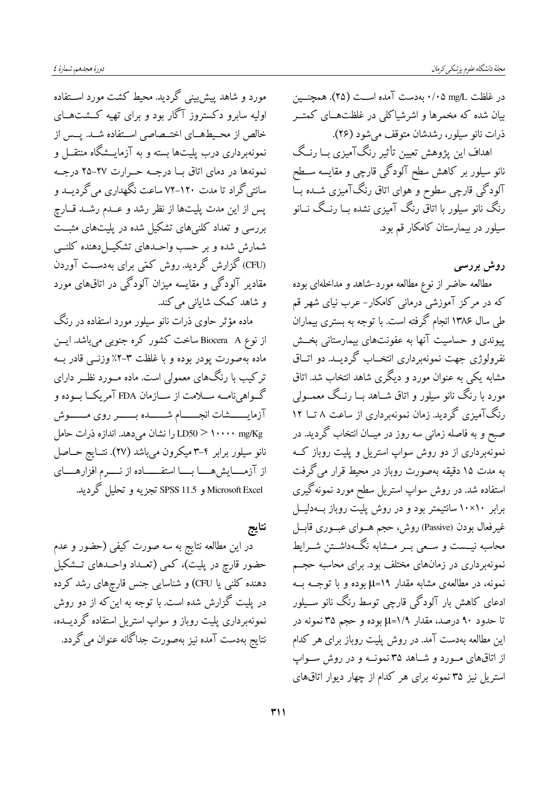مورد و شاهد پیش بینی گردید. محیط کشت مورد اســتفاده اولیه سابرو دکستروز آگار بود و برای تهیه کـشتهــای خالص از محـیطهــای اختــصاصی اســتفاده شــد. پــس از نمونهبرداری درب پلیتها بسته و به آزمایــشگاه منتقـــل و نمونهها در دمای اتاق با درجه حـرارت ٢٧-٢۵ درجـه سانتی گراد تا مدت ۱۲۰–۷۲ ساعت نگهداری می گردیــد و پس از این مدت پلیتها از نظر رشد و عــدم رشــد قــارچ بررسی و تعداد کلنیهای تشکیل شده در پلیتهای مثبــت شمارش شده و بر حسب واحــدهای تشکیـــل(دهنده کلنـــی (CFU) گزارش گردید. روش کمّی برای بهدســت آوردن مقادیر آلودگی و مقایسه میزان آلودگی در اتاقهای مورد و شاهد کمک شایانی می کند.

ماده مؤثر حاوی ذرات نانو سیلور مورد استفاده در رنگ از نوع Biocera A ساخت کشور کره جنوبی میباشد. ایسن ماده بهصورت پودر بوده و با غلظت ۳-۲٪ وزنــی قادر بــه ترکیب با رنگهای معمولی است. ماده مــورد نظــر دارای گــواهیiامــه ســلامت از ســازمان FDA آمریکــا بــوده و آزمایــــــشات انجـــــام شــــــده بــــــر روی مـــــوش LD50 > ۱۰۰۰۰ mg/Kg را نشان میدهد. اندازه ذرات حامل نانو سیلور برابر ۴–۳ میکرون میباشد (۲۷). نتـایج حـاصل از آزمــايشهـــا بـــا استفــــاده از نــــرم افزارهــــاي Microsoft Excel و SPSS 11.5 تجزيه و تحليل گرديد.

نتايج در این مطالعه نتایج به سه صورت کیفی (حضور و عدم حضور قارچ در پلیت)، کمی (تعــداد واحــدهای تــشکیل دهنده کلنی یا CFU) و شناسایی جنس قارچهای رشد کرده در پلیت گزارش شده است. با توجه به این که از دو روش نمونهبرداری پلیت روباز و سواپ استریل استفاده گردیــده، نتایج بهدست آمده نیز بهصورت جداگانه عنوان می گردد. در غلظت mg/L ۰/۰۵ بهدست آمده اســت (۲۵). همچنـــین بیان شده که مخمرها و اشرشیاکلی در غلظتهـای کمتــر ذرات نانو سیلور، رشدشان متوقف میشود (۲۶).

اهداف این پژوهش تعیین تأثیر رنگآمیزی بــا رنــگ نانو سیلور بر کاهش سطح آلودگی قارچی و مقایسه ســطح آلودگی قارچی سطوح و هوای اتاق رنگآمیزی شــده بــا رنگ نانو سیلور با اتاق رنگ آمیزی نشده بــا رنــگ نـــانو سیلور در بیمارستان کامکار قم بود.

روش بررسی

مطالعه حاضر از نوع مطالعه مورد-شاهد و مداخلهای بوده که در مرکز آموزشی درمانی کامکار-عرب نیای شهر قم طی سال ۱۳۸۶ انجام گرفته است. با توجه به بستری بیماران پیوندی و حساسیت آنها به عفونتهای بیمارستانی بخــش نفرولوژی جهت نمونهبرداری انتخــاب گردیــد. دو اتــاق مشابه یکی به عنوان مورد و دیگری شاهد انتخاب شد. اتاق مورد با رنگ نانو سیلور و اتاق شــاهد بــا رنــگ معمــولمي رنگ آمیزی گردید. زمان نمونهبرداری از ساعت ۸ تــا ۱۲ صبح و به فاصله زمانی سه روز در میــان انتخاب گردید. در نمونهبرداری از دو روش سواپ استریل و پلیت روباز کـه به مدت ۱۵ دقیقه بهصورت روباز در محیط قرار میگرفت استفاده شد. در روش سواپ استریل سطح مورد نمونه گیری برابر ۱۰×۱۰ سانتیمتر بود و در روش پلیت روباز بــهدلیــل غیرفعال بودن (Passive) روش، حجم هــوای عبــوری قابــل محاسبه نیــست و ســعی بــر مــشابه نگــهداشــتن شــرایط نمونهبرداری در زمانهای مختلف بود. برای محاسبه حجـم نمونه، در مطالعهی مشابه مقدار ۱۹=µ بوده و با توجــه بــه ادعای کاهش بار آلودگی قارچی توسط رنگ نانو ســیلور تا حدود ۹۰ درصد، مقدار ۱/۹=µ بوده و حجم ۳۵ نمونه در این مطالعه بهدست آمد. در روش پلیت روباز برای هر کدام از اتاقهای مورد و شاهد ۳۵ نمونــه و در روش ســواپ استریل نیز ۳۵ نمونه برای هر کدام از چهار دیوار اتاقهای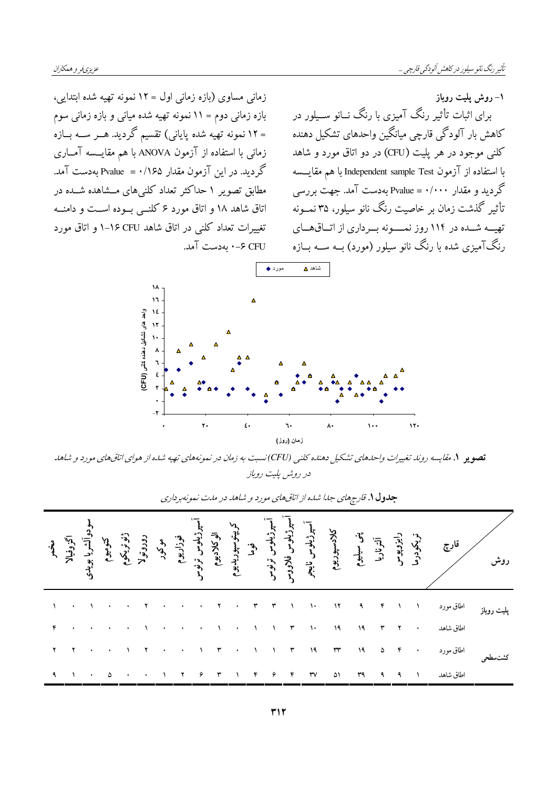۱– روش پلیت روباز

زمانی مساوی (بازه زمانی اول = ١٢ نمونه تهیه شده ابتدایی، بازه زمانی دوم = ۱۱ نمونه تهیه شده میانی و بازه زمانی سوم = ۱۲ نمونه تهیه شده پایانی) تقسیم گردید. هـــر ســـه بـــازه زمانی با استفاده از آزمون ANOVA با هم مقایسسه آمباری گردید. در این آزمون مقدار ۱۶۵/۰= Pvalue بهدست آمد. مطابق تصویر ۱ حداکثر تعداد کلنیهای مــشاهده شــده در اتاق شاهد ۱۸ و اتاق مورد ۶ کلنـبي بـوده اسـت و دامنــه تغییرات تعداد کلنی در اتاق شاهد CFU ۱۶ و اتاق مورد CFU ۶–۰ بەدست آمد.

برای اثبات تأثیر رنگ آمیزی با رنگ نــانو ســیلور در کاهش بار آلودگی قارچی میانگین واحدهای تشکیل دهنده کلنې موجود در هر يليت (CFU) در دو اتاق مورد و شاهد با استفاده از آزمون Independent sample Test با هم مقايسته گر دید و مقدار ۰۰۰۰/۰۰ = Pvalue بهدست آمد. جهت بررسی تأثیر گذشت زمان بر خاصیت رنگ نانو سیلور، ۳۵ نمــونه تهیسه شسده در ۱۱۴ روز نمسسونه بسرداری از اتساق هسای رنگ آمیزی شده با رنگ نانو سیلور (مورد) بــه ســه بــازه



.<br>**تصویر ۱. م**قایسه روند تغییرات واحدهای تشکیل دهنده کلنی (CFU)نسبت به زمان در نمونههای تهیه شده از هوای اتاقهای مورد و شاهد در روش پلیت رویاز

|                     | .<br>ريا بويد<br>ريا بويدي |  |                                 |  |  |  |  | ژئوتریکوم<br>میرژیلوس قوزاریوم<br>سپرژیلوس ترئیلوسی ترئوس<br>کیلایس فلاووس ترئوس<br>سپرژیلوس قلاووس<br>کیلایس | كلادسپوريو.                | يني<br>آنترناريا<br>لا |  |                     |           |  |
|---------------------|----------------------------|--|---------------------------------|--|--|--|--|---------------------------------------------------------------------------------------------------------------|----------------------------|------------------------|--|---------------------|-----------|--|
|                     |                            |  |                                 |  |  |  |  |                                                                                                               |                            |                        |  |                     |           |  |
|                     |                            |  |                                 |  |  |  |  |                                                                                                               |                            |                        |  |                     |           |  |
|                     |                            |  |                                 |  |  |  |  |                                                                                                               | TT TT IT IT THE THAT HOF . |                        |  |                     | اطاق مورد |  |
| $\ddot{\mathbf{a}}$ | $\mathcal{N}$              |  | $\cdot$ $\circ$ $\circ$ $\cdot$ |  |  |  |  | $\mathsf{rv}$                                                                                                 | ۵۱                         | ٣٩                     |  | $9 \quad 9 \quad 1$ | اطاق شاهد |  |

جدول ۱. قارچهای جلا شده از اتاقهای مورد و شاهد در مدت نمونهبرداری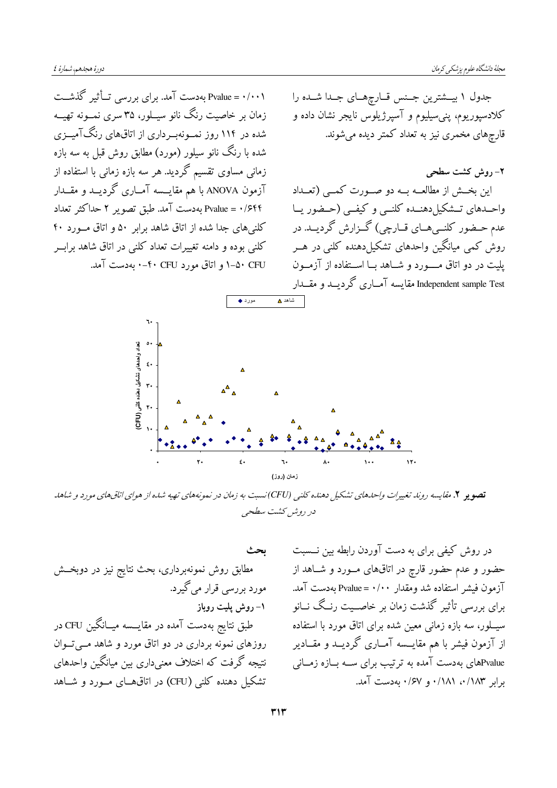Pvalue = ۰/۰۰۱ بهدست آمد. برای بررسی تــأثیر گذشــت زمان بر خاصیت رنگ نانو سیــلور، ۳۵ سری نمــونه تهیــه شده در ۱۱۴ روز نمــونهبــرداری از اتاقهای رنگآمیــزی شده با رنگ نانو سیلور (مورد) مطابق روش قبل به سه بازه زمانی مساوی تقسیم گردید. هر سه بازه زمانی با استفاده از آزمون ANOVA با هم مقایـــسه آمــاری گردیـــد و مقـــدار Pvalue = ۰/۶۴۴ بهدست آمد. طبق تصویر ۲ حداکثر تعداد کلنیهای جدا شده از اتاق شاهد برابر ۵۰ و اتاق مورد ۴۰ کلنی بوده و دامنه تغییرات تعداد کلنی در اتاق شاهد برابــر CFU ۱–۵۰ و اتاق مورد CFU+۰ -۰ بهدست آمد.

جدول ۱ بیــشترین جــنس قــارچهــای جــدا شــده را کلادسپوریوم، پنیسیلیوم و آسپرژیلوس نایجر نشان داده و قارچهای مخمری نیز به تعداد کمتر دیده میشوند.

٢- روش كشت سطحى این بخش از مطالعــه بــه دو صــورت کمــی (تعــداد واحــدهای تــشکیل دهنــده کلنــی و کیفــی (حــضور یــا عدم حــضور کلنــیهــای قــارچی) گــزارش گرديــد. در روش کمی میانگین واحدهای تشکیلدهنده کلنی در هــر يليت در دو اتاق مـــورد و شــاهد بــا اســتفاده از آزمــون Independent sample Test مقایسه آمــاری گردیــد و مقــدار



<mark>تصویر ۲</mark>. مقایسه روند تغییرات واحدهای تشکیل دهنده کلنی (CFU)نسبت به زمان در نمونههای تهیه شده از هوای اتاقهای مورد و شاهد در روش كشت سطحي

ىحث مطابق روش نمونهبرداری، بحث نتایج نیز در دوبخــش مورد پررسی قرار می گیرد. ۱– روش پلیت روباز طبق نتایج بهدست آمده در مقایـــسه میــانگین CFU در روزهای نمونه برداری در دو اتاق مورد و شاهد مــیتــوان نتیجه گرفت که اختلاف معنیداری بین میانگین واحدهای تشکیل دهنده کلنی (CFU) در اتاقهـای مـورد و شـاهد

در روش کیفی برای به دست آوردن رابطه بین نــسبت حضور و عدم حضور قارچ در اتاقهای مـورد و شـاهد از آزمون فيشر استفاده شد ومقدار ۰/۰۰ = Pvalue بهدست آمد. برای بررسی تأثیر گذشت زمان بر خاصــیت رنــگ نــانو سیــلور، سه بازه زمانی معین شده برای اتاق مورد با استفاده از آزمون فیشر با هم مقایـــسه آمــاری گردیـــد و مقــادیر .<br>Pvalueهای بهدست آمده به ترتیب برای ســه بــازه زمــانی برابر ۰/۱۸۲ ۰/۱۸۱ و ۰/۶۷ به دست آمد.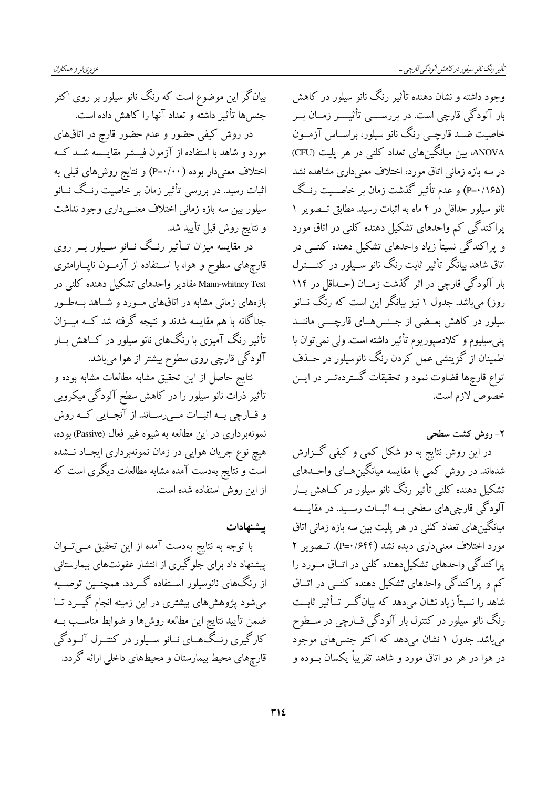بیانگر این موضوع است که رنگ نانو سیلور بر روی اکثر جنسها تأثير داشته و تعداد آنها را كاهش داده است. در روش کیفی حضور و عدم حضور قارچ در اتاقهای مورد و شاهد با استفاده از آزمون فیـــشر مقایـــسه شـــد کـــه اختلاف معنیدار بوده ( ۰۰/۰۰) و نتایج روشهای قبلی به اثبات رسید. در بررسی تأثیر زمان بر خاصیت رنــگ نــانو سیلور بین سه بازه زمانی اختلاف معنــیداری وجود نداشت و نتايج روش قبل تأييد شد.

در مقایسه میزان تــأثیر رنــگ نــانو ســیلور بــر روی قارچهای سطوح و هوا، با اســتفاده از آزمــون ناپــارامتری Mann-whitney Test مقادیر واحدهای تشکیل دهنده کلنی در بازههای زمانی مشابه در اتاقهای مـورد و شـاهد بـهطـور جداگانه با هم مقایسه شدند و نتیجه گرفته شد کــه میـــزان تأثیر رنگ آمیزی با رنگهای نانو سیلور در کــاهش بــار آلودگی قارچی روی سطوح بیشتر از هوا میباشد.

.<br>نتایج حاصل از این تحقیق مشابه مطالعات مشابه بوده و تأثیر ذرات نانو سیلور را در کاهش سطح آلودگی میکروبی و قسارچي بسه اثبسات مسي رسساند. از آنجسايي كسه روش نمونهبرداری در این مطالعه به شیوه غیر فعال (Passive) بوده، هیچ نوع جریان هوایی در زمان نمونهبرداری ایجـاد نـــشده است و نتایج بهدست آمده مشابه مطالعات دیگری است که از این روش استفاده شده است.

ييشنهادات

با توجه به نتایج بهدست آمده از این تحقیق مــیتــوان پیشنهاد داد برای جلوگیری از انتشار عفونتهای بیمارستانی از رنگهای نانوسیلور اســتفاده گـــردد. همچنـــین توصــیه میشود پژوهشهای بیشتری در این زمینه انجام گیـــرد تــا ضمن تأييد نتايج اين مطالعه روشها و ضوابط مناســب بــه کارگیری رنـگ۱هــای نــانو ســیلور در کنتــرل آلــودگی قارچهای محیط بیمارستان و محیطهای داخلی ارائه گردد. وجود داشته و نشان دهنده تأثیر رنگ نانو سیلور در کاهش بار آلودگی قارچی است. در بررســــی تأثیـــــر زمــان بـــر خاصیت ضــد قارچــی رنگ نانو سیلور، براســاس آزمــون ANOVA، بین میانگینهای تعداد کلنی در هر پلیت (CFU) در سه بازه زمانی اتاق مورد، اختلاف معنیداری مشاهده نشد (P=۰/۱۶۵) و عدم تأثیر گذشت زمان بر خاصــیت رنـگ نانو سیلور حداقل در ۴ ماه به اثبات رسید. مطابق تــصویر ۱ پراکندگی کم واحدهای تشکیل دهنده کلنی در اتاق مورد و پراکندگی نسبتاً زیاد واحدهای تشکیل دهنده کلنــی در اتاق شاهد بیانگر تأثیر ثابت رنگ نانو سـیلور در کنــــترل بار آلودگی قارچی در اثر گذشت زمــان (حــداقل در ۱۱۴ روز) میباشد. جدول ۱ نیز بیانگر این است که رنگ نــانو سیلور در کاهش بعــضی از جــنس۵هــای قارچــــی ماننــد پنبی سیلیوم و کلادسپوریوم تأثیر داشته است. ولی نمی توان با اطمینان از گزینشی عمل کردن رنگ نانوسیلور در حــذف انواع قارچها قضاوت نمود و تحقیقات گسترده تـــر در ایــــ; خصوص لازم است.

۲– روش کشت سطحی

در این روش نتایج به دو شکل کمی و کیفی گــزارش شدهاند. در روش کمی با مقایسه میانگین هــای واحــدهای تشکیل دهنده کلنی تأثیر رنگ نانو سیلور در کــاهش بــار آلودگی قارچیهای سطحی بــه اثبــات رســید. در مقایـــسه میانگینهای تعداد کلنی در هر پلیت بین سه بازه زمانی اتاق مورد اختلاف معنیداری دیده نشد (۴۴۱/۶۴۴). تــصویر ۲ پراکندگی واحدهای تشکیلدهنده کلنی در اتــاق مــورد را کم و پراکندگی واحدهای تشکیل دهنده کلنــی در اتــاق .<br>شاهد را نسبتاً زیاد نشان میدهد که بیانگــر تــأثیر ثابــت رنگ نانو سیلور در کنترل بار آلودگی قــارچی در ســطوح می باشد. جدول ۱ نشان می دهد که اکثر جنس های موجود در هوا در هر دو اتاق مورد و شاهد تقریباً یکسان بــوده و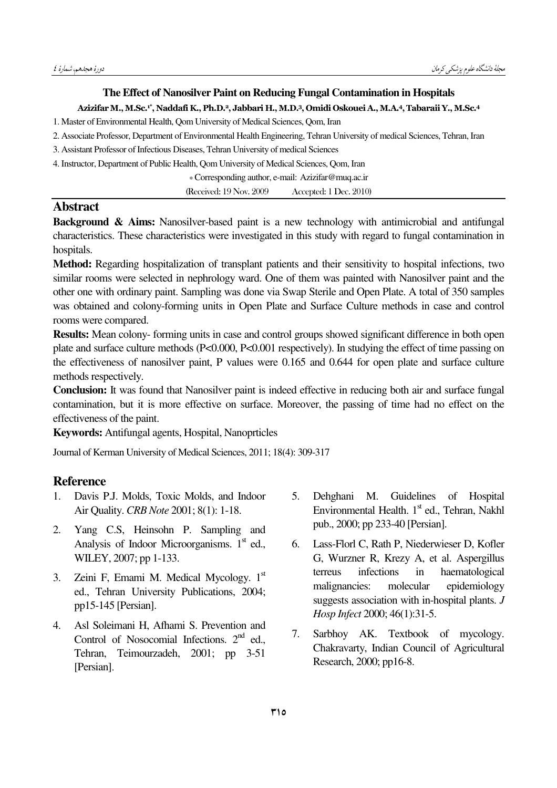## The Effect of Nanosilver Paint on Reducing Fungal Contamination in Hospitals

#### Azizifar M., M.Sc.<sup>1\*</sup>, Naddafi K., Ph.D.<sup>2</sup>, Jabbari H., M.D.<sup>3</sup>, Omidi Oskouei A., M.A.<sup>4</sup>, Tabaraii Y., M.Sc.<sup>4</sup>

1. Master of Environmental Health, Qom University of Medical Sciences, Qom, Iran

- 2. Associate Professor, Department of Environmental Health Engineering, Tehran University of medical Sciences, Tehran, Iran
- 3. Assistant Professor of Infectious Diseases, Tehran University of medical Sciences

4. Instructor, Department of Public Health, Qom University of Medical Sciences, Qom, Iran

\* Corresponding author, e-mail: Azizifar@muq.ac.ir

(Received: 19 Nov. 2009) Accepted: 1 Dec. 2010)

## **Abstract**

**Background & Aims:** Nanosilver-based paint is a new technology with antimicrobial and antifungal characteristics. These characteristics were investigated in this study with regard to fungal contamination in hospitals.

Method: Regarding hospitalization of transplant patients and their sensitivity to hospital infections, two similar rooms were selected in nephrology ward. One of them was painted with Nanosilver paint and the other one with ordinary paint. Sampling was done via Swap Sterile and Open Plate. A total of 350 samples was obtained and colony-forming units in Open Plate and Surface Culture methods in case and control rooms were compared.

**Results:** Mean colony-forming units in case and control groups showed significant difference in both open plate and surface culture methods (P<0.000, P<0.001 respectively). In studying the effect of time passing on the effectiveness of nanosilver paint, P values were 0.165 and 0.644 for open plate and surface culture methods respectively.

**Conclusion:** It was found that Nanosilver paint is indeed effective in reducing both air and surface fungal contamination, but it is more effective on surface. Moreover, the passing of time had no effect on the effectiveness of the paint.

**Keywords:** Antifungal agents, Hospital, Nanoprticles

Journal of Kerman University of Medical Sciences, 2011; 18(4): 309-317

### **Reference**

- $1<sup>1</sup>$ Davis P.J. Molds, Toxic Molds, and Indoor Air Quality. CRB Note 2001; 8(1): 1-18.
- $2<sub>1</sub>$ Yang C.S. Heinsohn P. Sampling and Analysis of Indoor Microorganisms. 1<sup>st</sup> ed., WILEY, 2007; pp 1-133.
- Zeini F, Emami M. Medical Mycology.  $1<sup>st</sup>$  $3<sub>1</sub>$ ed., Tehran University Publications, 2004; pp15-145 [Persian].
- Asl Soleimani H, Afhami S. Prevention and 4. Control of Nosocomial Infections. 2<sup>nd</sup> ed., Tehran, Teimourzadeh, 2001; pp 3-51 [Persian].
- $5<sub>1</sub>$ Dehghani M. Guidelines of Hospital Environmental Health. 1st ed., Tehran. Nakhl pub., 2000; pp 233-40 [Persian].
- 6. Lass-Florl C, Rath P, Niederwieser D, Kofler G, Wurzner R, Krezy A, et al. Aspergillus terreus infections in haematological malignancies: molecular epidemiology suggests association with in-hospital plants. J Hosp Infect 2000; 46(1):31-5.
- Sarbhoy AK. Textbook of mycology.  $7<sup>7</sup>$ Chakravarty, Indian Council of Agricultural Research, 2000; pp16-8.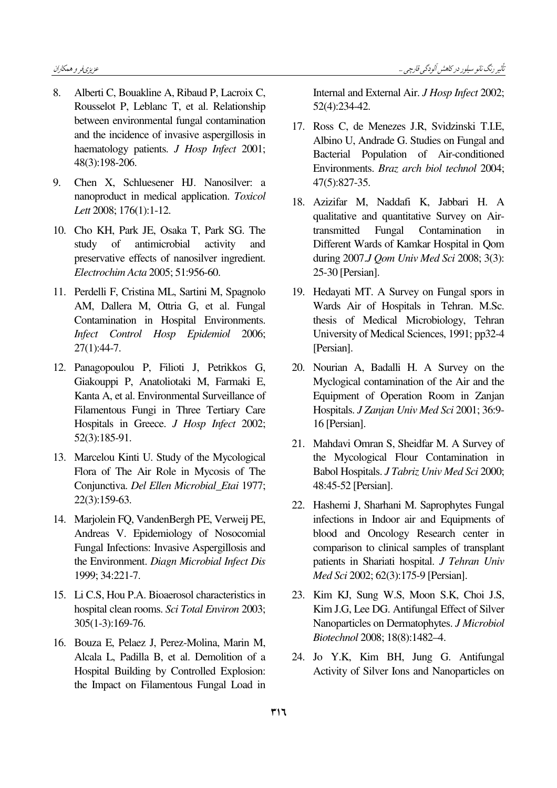- 8. Alberti C, Bouakline A, Ribaud P, Lacroix C, Rousselot P, Leblanc T, et al. Relationship between environmental fungal contamination and the incidence of invasive aspergillosis in haematology patients. *J Hosp Infect* 2001; 48(3):198-206.
- 9. Chen X, Schluesener HJ. Nanosilver: a nanoproduct in medical application. Toxicol Lett 2008; 176(1):1-12.
- 10. Cho KH, Park JE, Osaka T, Park SG. The study of antimicrobial activity and preservative effects of nanosilver ingredient. Electrochim Acta 2005; 51:956-60.
- 11. Perdelli F, Cristina ML, Sartini M, Spagnolo AM, Dallera M, Ottria G, et al. Fungal Contamination in Hospital Environments. Infect Control Hosp Epidemiol 2006; 27(1):44-7.
- 12. Panagopoulou P, Filioti J, Petrikkos G, Giakouppi P, Anatoliotaki M, Farmaki E, Kanta A, et al. Environmental Surveillance of Filamentous Fungi in Three Tertiary Care Hospitals in Greece. J Hosp Infect 2002; 52(3):185-91.
- 13. Marcelou Kinti U. Study of the Mycological Flora of The Air Role in Mycosis of The Conjunctiva. Del Ellen Microbial\_Etai 1977; 22(3):159-63.
- 14. Marjolein FQ, VandenBergh PE, Verweij PE, Andreas V. Epidemiology of Nosocomial Fungal Infections: Invasive Aspergillosis and the Environment. Diagn Microbial Infect Dis 1999; 34:221-7.
- 15. Li C.S, Hou P.A. Bioaerosol characteristics in hospital clean rooms. Sci Total Environ 2003; 305(1-3):169-76.
- 16. Bouza E, Pelaez J, Perez-Molina, Marin M, Alcala L, Padilla B, et al. Demolition of a Hospital Building by Controlled Explosion: the Impact on Filamentous Fungal Load in

Internal and External Air. J Hosp Infect 2002; 52(4):234-42.

- 17. Ross C, de Menezes J.R, Svidzinski T.I.E, Albino U, Andrade G. Studies on Fungal and Bacterial Population of Air-conditioned Environments. Braz arch biol technol 2004; 47(5):827-35.
- 18. Azizifar M, Naddafi K, Jabbari H. A qualitative and quantitative Survey on Airtransmitted Fungal Contamination in Different Wards of Kamkar Hospital in Qom during 2007.J Qom Univ Med Sci 2008; 3(3): 25-30 [Persian].
- 19. Hedayati MT. A Survey on Fungal spors in Wards Air of Hospitals in Tehran. M.Sc. thesis of Medical Microbiology, Tehran University of Medical Sciences, 1991; pp32-4 [Persian].
- 20. Nourian A, Badalli H. A Survey on the Myclogical contamination of the Air and the Equipment of Operation Room in Zanjan Hospitals. J Zanjan Univ Med Sci 2001; 36:9- 16 [Persian].
- 21. Mahdavi Omran S, Sheidfar M. A Survey of the Mycological Flour Contamination in Babol Hospitals. J Tabriz Univ Med Sci 2000; 48:45-52 [Persian].
- 22. Hashemi J, Sharhani M. Saprophytes Fungal infections in Indoor air and Equipments of blood and Oncology Research center in comparison to clinical samples of transplant patients in Shariati hospital. J Tehran Univ Med Sci 2002; 62(3):175-9 [Persian].
- 23. Kim KJ, Sung W.S, Moon S.K, Choi J.S, Kim J.G, Lee DG. Antifungal Effect of Silver Nanoparticles on Dermatophytes. J Microbiol Biotechnol 2008; 18(8):1482–4.
- 24. Jo Y.K, Kim BH, Jung G. Antifungal Activity of Silver Ions and Nanoparticles on